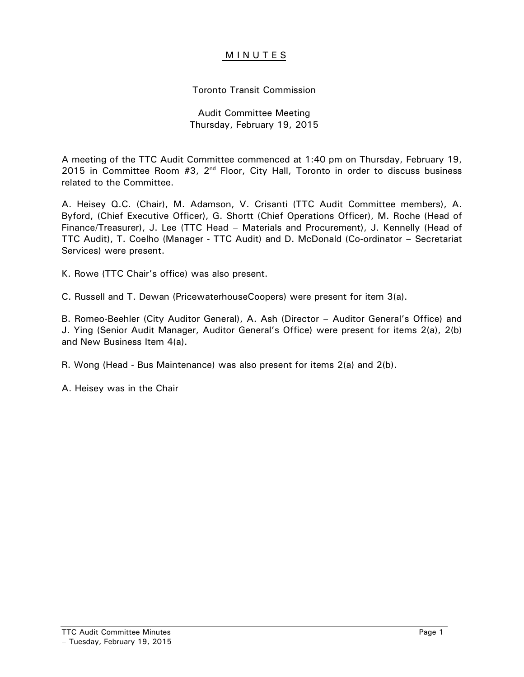## **MINUTES**

# Toronto Transit Commission

### Audit Committee Meeting Thursday, February 19, 2015

A meeting of the TTC Audit Committee commenced at 1:40 pm on Thursday, February 19, 2015 in Committee Room  $#3$ ,  $2^{nd}$  Floor, City Hall, Toronto in order to discuss business related to the Committee.

A. Heisey Q.C. (Chair), M. Adamson, V. Crisanti (TTC Audit Committee members), A. Byford, (Chief Executive Officer), G. Shortt (Chief Operations Officer), M. Roche (Head of Finance/Treasurer), J. Lee (TTC Head – Materials and Procurement), J. Kennelly (Head of TTC Audit), T. Coelho (Manager - TTC Audit) and D. McDonald (Co-ordinator – Secretariat Services) were present.

K. Rowe (TTC Chair's office) was also present.

C. Russell and T. Dewan (PricewaterhouseCoopers) were present for item 3(a).

B. Romeo-Beehler (City Auditor General), A. Ash (Director – Auditor General's Office) and J. Ying (Senior Audit Manager, Auditor General's Office) were present for items 2(a), 2(b) and New Business Item 4(a).

R. Wong (Head - Bus Maintenance) was also present for items 2(a) and 2(b).

A. Heisey was in the Chair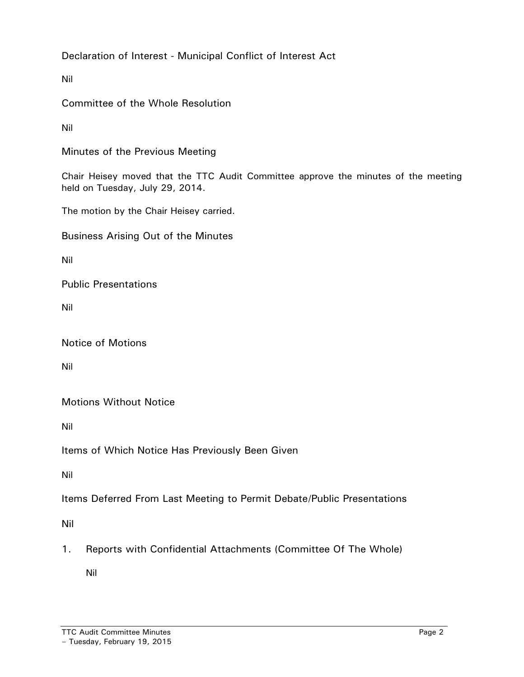Declaration of Interest - Municipal Conflict of Interest Act

Nil

Committee of the Whole Resolution

Nil

Minutes of the Previous Meeting

Chair Heisey moved that the TTC Audit Committee approve the minutes of the meeting held on Tuesday, July 29, 2014.

The motion by the Chair Heisey carried.

Business Arising Out of the Minutes

Nil

Public Presentations

Nil

Notice of Motions

Nil

Motions Without Notice

Nil

Items of Which Notice Has Previously Been Given

Nil

Items Deferred From Last Meeting to Permit Debate/Public Presentations

Nil

1. Reports with Confidential Attachments (Committee Of The Whole)

Nil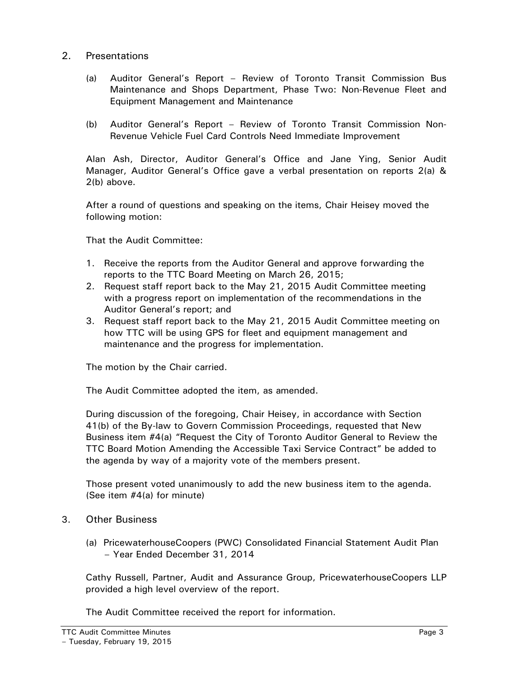### 2. Presentations

- (a) Auditor General's Report Review of Toronto Transit Commission Bus Maintenance and Shops Department, Phase Two: Non-Revenue Fleet and Equipment Management and Maintenance
- (b) Auditor General's Report Review of Toronto Transit Commission Non-Revenue Vehicle Fuel Card Controls Need Immediate Improvement

Alan Ash, Director, Auditor General's Office and Jane Ying, Senior Audit Manager, Auditor General's Office gave a verbal presentation on reports 2(a) & 2(b) above.

After a round of questions and speaking on the items, Chair Heisey moved the following motion:

That the Audit Committee:

- 1. Receive the reports from the Auditor General and approve forwarding the reports to the TTC Board Meeting on March 26, 2015;
- 2. Request staff report back to the May 21, 2015 Audit Committee meeting with a progress report on implementation of the recommendations in the Auditor General's report; and
- 3. Request staff report back to the May 21, 2015 Audit Committee meeting on how TTC will be using GPS for fleet and equipment management and maintenance and the progress for implementation.

The motion by the Chair carried.

The Audit Committee adopted the item, as amended.

During discussion of the foregoing, Chair Heisey, in accordance with Section 41(b) of the By-law to Govern Commission Proceedings, requested that New Business item #4(a) "Request the City of Toronto Auditor General to Review the TTC Board Motion Amending the Accessible Taxi Service Contract" be added to the agenda by way of a majority vote of the members present.

Those present voted unanimously to add the new business item to the agenda. (See item #4(a) for minute)

- 3. Other Business
	- (a) PricewaterhouseCoopers (PWC) Consolidated Financial Statement Audit Plan – Year Ended December 31, 2014

Cathy Russell, Partner, Audit and Assurance Group, PricewaterhouseCoopers LLP provided a high level overview of the report.

The Audit Committee received the report for information.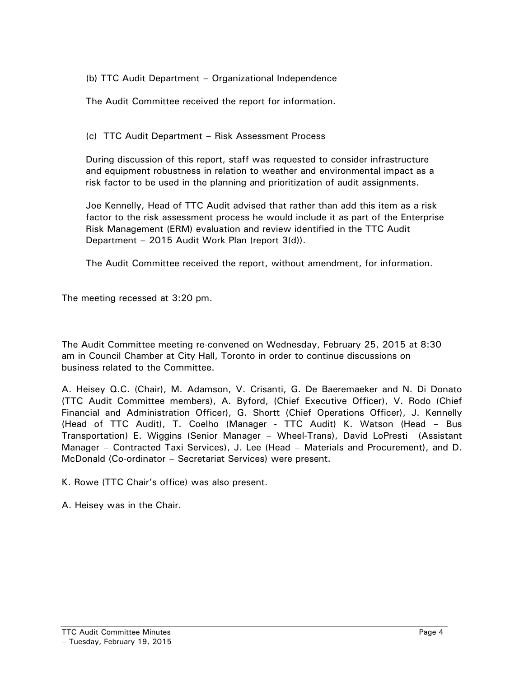(b) TTC Audit Department – Organizational Independence

The Audit Committee received the report for information.

(c) TTC Audit Department – Risk Assessment Process

During discussion of this report, staff was requested to consider infrastructure and equipment robustness in relation to weather and environmental impact as a risk factor to be used in the planning and prioritization of audit assignments.

Joe Kennelly, Head of TTC Audit advised that rather than add this item as a risk factor to the risk assessment process he would include it as part of the Enterprise Risk Management (ERM) evaluation and review identified in the TTC Audit Department – 2015 Audit Work Plan (report 3(d)).

The Audit Committee received the report, without amendment, for information.

The meeting recessed at 3:20 pm.

The Audit Committee meeting re-convened on Wednesday, February 25, 2015 at 8:30 am in Council Chamber at City Hall, Toronto in order to continue discussions on business related to the Committee.

A. Heisey Q.C. (Chair), M. Adamson, V. Crisanti, G. De Baeremaeker and N. Di Donato (TTC Audit Committee members), A. Byford, (Chief Executive Officer), V. Rodo (Chief Financial and Administration Officer), G. Shortt (Chief Operations Officer), J. Kennelly (Head of TTC Audit), T. Coelho (Manager - TTC Audit) K. Watson (Head – Bus Transportation) E. Wiggins (Senior Manager – Wheel-Trans), David LoPresti (Assistant Manager – Contracted Taxi Services), J. Lee (Head – Materials and Procurement), and D. McDonald (Co-ordinator – Secretariat Services) were present.

K. Rowe (TTC Chair's office) was also present.

A. Heisey was in the Chair.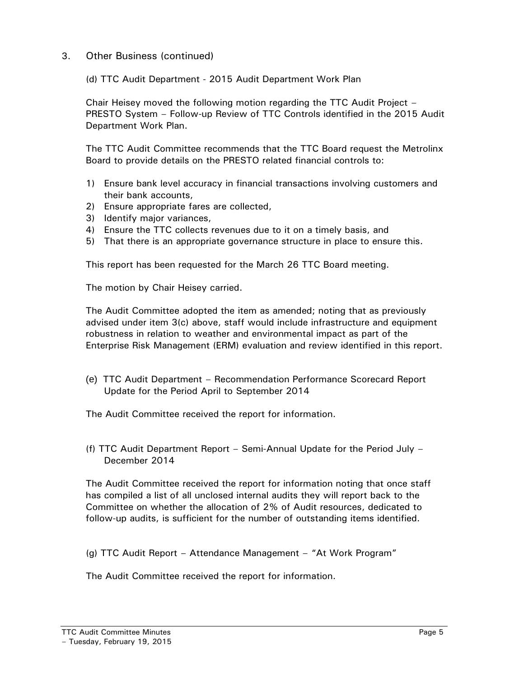3. Other Business (continued)

(d) TTC Audit Department - 2015 Audit Department Work Plan

Chair Heisey moved the following motion regarding the TTC Audit Project – PRESTO System – Follow-up Review of TTC Controls identified in the 2015 Audit Department Work Plan.

The TTC Audit Committee recommends that the TTC Board request the Metrolinx Board to provide details on the PRESTO related financial controls to:

- 1) Ensure bank level accuracy in financial transactions involving customers and their bank accounts,
- 2) Ensure appropriate fares are collected,
- 3) Identify major variances,
- 4) Ensure the TTC collects revenues due to it on a timely basis, and
- 5) That there is an appropriate governance structure in place to ensure this.

This report has been requested for the March 26 TTC Board meeting.

The motion by Chair Heisey carried.

The Audit Committee adopted the item as amended; noting that as previously advised under item 3(c) above, staff would include infrastructure and equipment robustness in relation to weather and environmental impact as part of the Enterprise Risk Management (ERM) evaluation and review identified in this report.

(e) TTC Audit Department – Recommendation Performance Scorecard Report Update for the Period April to September 2014

The Audit Committee received the report for information.

(f) TTC Audit Department Report – Semi-Annual Update for the Period July – December 2014

The Audit Committee received the report for information noting that once staff has compiled a list of all unclosed internal audits they will report back to the Committee on whether the allocation of 2% of Audit resources, dedicated to follow-up audits, is sufficient for the number of outstanding items identified.

(g) TTC Audit Report – Attendance Management – "At Work Program"

The Audit Committee received the report for information.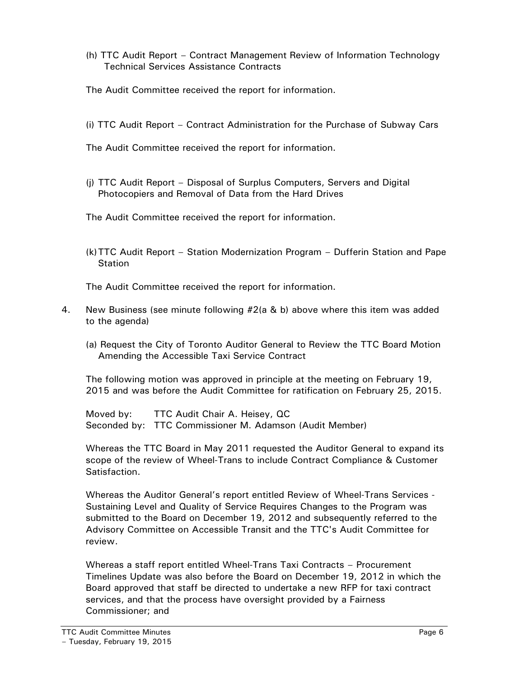- (h) TTC Audit Report Contract Management Review of Information Technology Technical Services Assistance Contracts
- The Audit Committee received the report for information.
- (i) TTC Audit Report Contract Administration for the Purchase of Subway Cars
- The Audit Committee received the report for information.
- (j) TTC Audit Report Disposal of Surplus Computers, Servers and Digital Photocopiers and Removal of Data from the Hard Drives
- The Audit Committee received the report for information.
- (k)TTC Audit Report Station Modernization Program Dufferin Station and Pape **Station**

The Audit Committee received the report for information.

- 4. New Business (see minute following #2(a & b) above where this item was added to the agenda)
	- (a) Request the City of Toronto Auditor General to Review the TTC Board Motion Amending the Accessible Taxi Service Contract

The following motion was approved in principle at the meeting on February 19, 2015 and was before the Audit Committee for ratification on February 25, 2015.

Moved by: TTC Audit Chair A. Heisey, QC Seconded by: TTC Commissioner M. Adamson (Audit Member)

Whereas the TTC Board in May 2011 requested the Auditor General to expand its scope of the review of Wheel-Trans to include Contract Compliance & Customer Satisfaction.

Whereas the Auditor General's report entitled Review of Wheel-Trans Services - Sustaining Level and Quality of Service Requires Changes to the Program was submitted to the Board on December 19, 2012 and subsequently referred to the Advisory Committee on Accessible Transit and the TTC's Audit Committee for review.

Whereas a staff report entitled Wheel-Trans Taxi Contracts – Procurement Timelines Update was also before the Board on December 19, 2012 in which the Board approved that staff be directed to undertake a new RFP for taxi contract services, and that the process have oversight provided by a Fairness Commissioner; and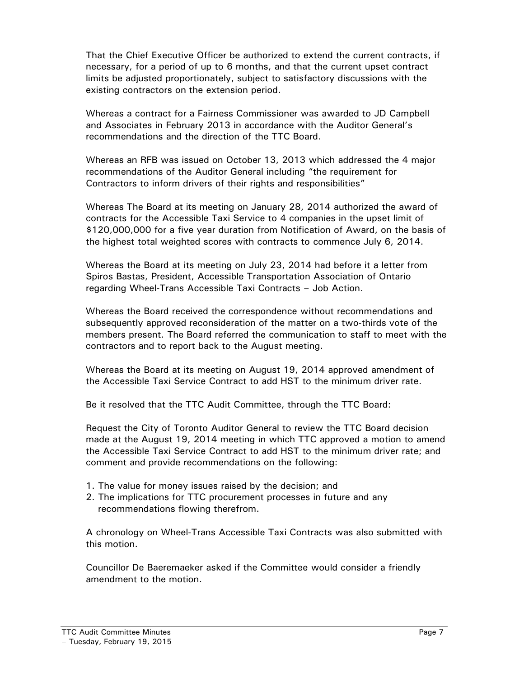That the Chief Executive Officer be authorized to extend the current contracts, if necessary, for a period of up to 6 months, and that the current upset contract limits be adjusted proportionately, subject to satisfactory discussions with the existing contractors on the extension period.

Whereas a contract for a Fairness Commissioner was awarded to JD Campbell and Associates in February 2013 in accordance with the Auditor General's recommendations and the direction of the TTC Board.

Whereas an RFB was issued on October 13, 2013 which addressed the 4 major recommendations of the Auditor General including "the requirement for Contractors to inform drivers of their rights and responsibilities"

Whereas The Board at its meeting on January 28, 2014 authorized the award of contracts for the Accessible Taxi Service to 4 companies in the upset limit of \$120,000,000 for a five year duration from Notification of Award, on the basis of the highest total weighted scores with contracts to commence July 6, 2014.

Whereas the Board at its meeting on July 23, 2014 had before it a letter from Spiros Bastas, President, Accessible Transportation Association of Ontario regarding Wheel-Trans Accessible Taxi Contracts – Job Action.

Whereas the Board received the correspondence without recommendations and subsequently approved reconsideration of the matter on a two-thirds vote of the members present. The Board referred the communication to staff to meet with the contractors and to report back to the August meeting.

Whereas the Board at its meeting on August 19, 2014 approved amendment of the Accessible Taxi Service Contract to add HST to the minimum driver rate.

Be it resolved that the TTC Audit Committee, through the TTC Board:

Request the City of Toronto Auditor General to review the TTC Board decision made at the August 19, 2014 meeting in which TTC approved a motion to amend the Accessible Taxi Service Contract to add HST to the minimum driver rate; and comment and provide recommendations on the following:

- 1. The value for money issues raised by the decision; and
- 2. The implications for TTC procurement processes in future and any recommendations flowing therefrom.

A chronology on Wheel-Trans Accessible Taxi Contracts was also submitted with this motion.

Councillor De Baeremaeker asked if the Committee would consider a friendly amendment to the motion.